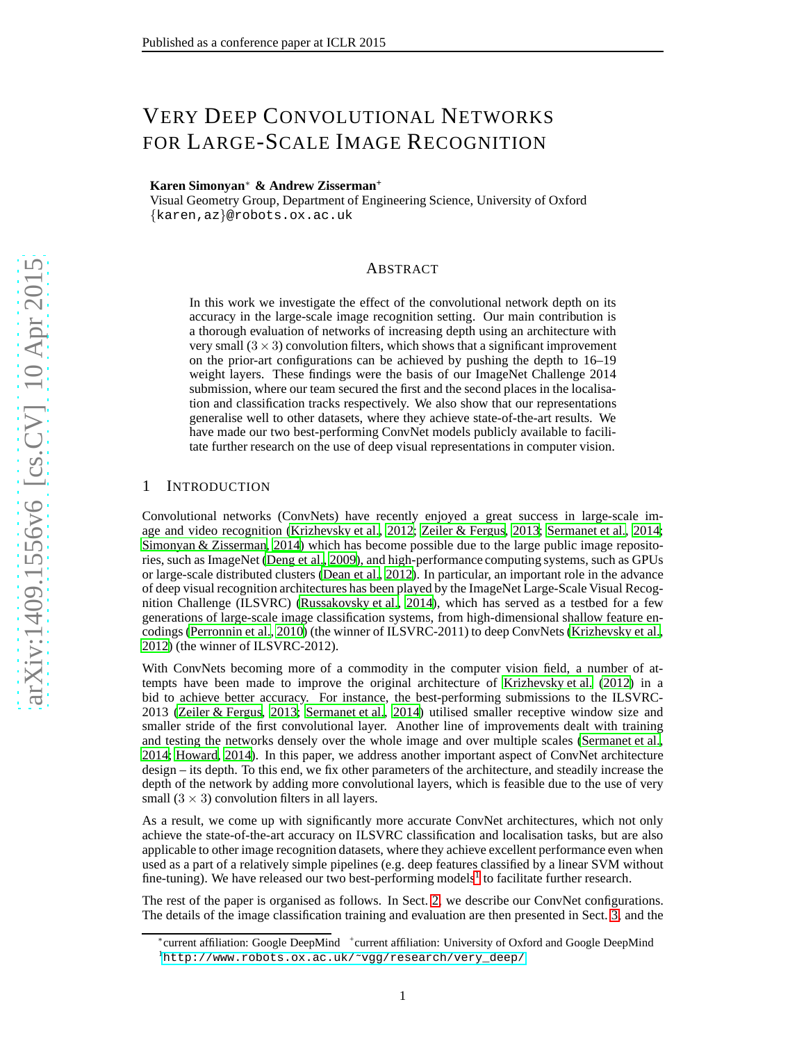# VERY DEEP CONVOLUTIONAL NETWORKS FOR LARGE-SCALE IMAGE RECOGNITION

# **Karen Simonyan** <sup>∗</sup> **& Andrew Zisserman +**

Visual Geometry Group, Department of Engineering Science, University of Oxford {karen,az}@robots.ox.ac.uk

# ABSTRACT

In this work we investigate the effect of the convolutional network depth on its accuracy in the large-scale image recognition setting. Our main contribution is a thorough evaluation of networks of increasing depth using an architecture with very small  $(3 \times 3)$  convolution filters, which shows that a significant improvement on the prior-art configurations can be achieved by pushing the depth to 16–19 weight layers. These findings were the basis of our ImageNet Challenge 2014 submission, where our team secured the first and the second places in the localisation and classification tracks respectively. We also show that our representations generalise well to other datasets, where they achieve state-of-the-art results. We have made our two best-performing ConvNet models publicly available to facilitate further research on the use of deep visual representations in computer vision.

# 1 INTRODUCTION

Convolutional networks (ConvNets) have recently enjoyed a great success in large-scale image and video recognition [\(Krizhevsky et al.](#page-8-0), [2012](#page-8-0); [Zeiler &](#page-9-0) Fergus, [2013;](#page-9-0) [Sermanet et al.](#page-9-1), [2014](#page-9-1); [Simonyan & Zisserman, 2014\)](#page-9-2) which has become possible due to the large public image repositories, such as ImageNet [\(Deng et al., 2009\)](#page-8-1), and high-performance computing systems, such as GPUs or large-scale distributed clusters [\(Dean et al.](#page-8-2), [2012](#page-8-2)). In particular, an important role in the advance of deep visual recognition architectures has been played by the ImageNet Large-Scale Visual Recognition Challenge (ILSVRC) [\(Russakovsky et al., 2014\)](#page-9-3), which has served as a testbed for a few generations of large-scale image classification systems, from high-dimensional shallow feature encodings [\(Perronnin et al., 2010\)](#page-8-3) (the winner of ILSVRC-2011) to deep ConvNets [\(Krizhevsky et al.,](#page-8-0) [2012\)](#page-8-0) (the winner of ILSVRC-2012).

With ConvNets becoming more of a commodity in the computer vision field, a number of attempts have been made to improve the original architecture of [Krizhevsky et al.](#page-8-0) [\(2012\)](#page-8-0) in a bid to achieve better accuracy. For instance, the best-performing submissions to the ILSVRC-2013 [\(Zeiler & Fergus, 2013;](#page-9-0) [Sermanet et al.](#page-9-1), [2014\)](#page-9-1) utilised smaller receptive window size and smaller stride of the first convolutional layer. Another line of improvements dealt with training and testing the networks densely over the whole image and over multiple scales [\(Sermanet et al.,](#page-9-1) [2014;](#page-9-1) [Howard, 2014\)](#page-8-4). In this paper, we address another important aspect of ConvNet architecture design – its depth. To this end, we fix other parameters of the architecture, and steadily increase the depth of the network by adding more convolutional layers, which is feasible due to the use of very small  $(3 \times 3)$  convolution filters in all layers.

As a result, we come up with significantly more accurate ConvNet architectures, which not only achieve the state-of-the-art accuracy on ILSVRC classification and localisation tasks, but are also applicable to other image recognition datasets, where they achieve excellent performance even when used as a part of a relatively simple pipelines (e.g. deep features classified by a linear SVM without fine-tuning). We have released our two best-performing models<sup>[1](#page-0-0)</sup> to facilitate further research.

The rest of the paper is organised as follows. In Sect. [2,](#page-1-0) we describe our ConvNet configurations. The details of the image classification training and evaluation are then presented in Sect. [3,](#page-3-0) and the

<span id="page-0-0"></span><sup>∗</sup> current affiliation: Google DeepMind + current affiliation: University of Oxford and Google DeepMind  $^{1}$ [http://www.robots.ox.ac.uk/](http://www.robots.ox.ac.uk/~vgg/research/very_deep/)~vgg/research/very\_deep/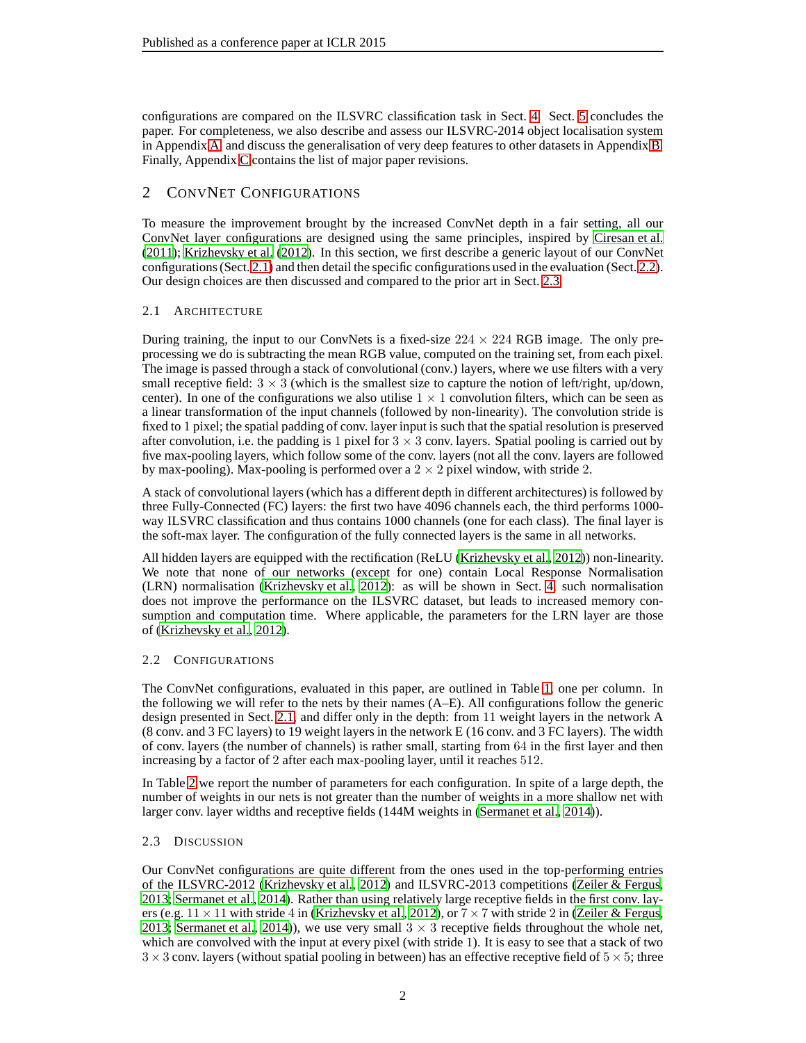configurations are compared on the ILSVRC classification task in Sect. [4.](#page-4-0) Sect. [5](#page-7-0) concludes the paper. For completeness, we also describe and assess our ILSVRC-2014 object localisation system in Appendix [A,](#page-9-4) and discuss the generalisation of very deep features to other datasets in Appendix [B.](#page-10-0) Finally, Appendix [C](#page-13-0) contains the list of major paper revisions.

# <span id="page-1-0"></span>2 CONVNET CONFIGURATIONS

To measure the improvement brought by the increased ConvNet depth in a fair setting, all our ConvNet layer configurations are designed using the same principles, inspired by [Ciresan et al.](#page-8-5) [\(2011\)](#page-8-5); [Krizhevsky et al.](#page-8-0) [\(2012\)](#page-8-0). In this section, we first describe a generic layout of our ConvNet configurations (Sect. [2.1\)](#page-1-1) and then detail the specific configurations used in the evaluation (Sect. [2.2\)](#page-1-2). Our design choices are then discussed and compared to the prior art in Sect. [2.3.](#page-1-3)

# <span id="page-1-1"></span>2.1 ARCHITECTURE

During training, the input to our ConvNets is a fixed-size  $224 \times 224$  RGB image. The only preprocessing we do is subtracting the mean RGB value, computed on the training set, from each pixel. The image is passed through a stack of convolutional (conv.) layers, where we use filters with a very small receptive field:  $3 \times 3$  (which is the smallest size to capture the notion of left/right, up/down, center). In one of the configurations we also utilise  $1 \times 1$  convolution filters, which can be seen as a linear transformation of the input channels (followed by non-linearity). The convolution stride is fixed to 1 pixel; the spatial padding of conv. layer input is such that the spatial resolution is preserved after convolution, i.e. the padding is 1 pixel for  $3 \times 3$  conv. layers. Spatial pooling is carried out by five max-pooling layers, which follow some of the conv. layers (not all the conv. layers are followed by max-pooling). Max-pooling is performed over a  $2 \times 2$  pixel window, with stride 2.

A stack of convolutional layers (which has a different depth in different architectures) is followed by three Fully-Connected (FC) layers: the first two have 4096 channels each, the third performs 1000 way ILSVRC classification and thus contains 1000 channels (one for each class). The final layer is the soft-max layer. The configuration of the fully connected layers is the same in all networks.

All hidden layers are equipped with the rectification (ReLU [\(Krizhevsky et al., 2012\)](#page-8-0)) non-linearity. We note that none of our networks (except for one) contain Local Response Normalisation (LRN) normalisation [\(Krizhevsky et al., 2012\)](#page-8-0): as will be shown in Sect. [4,](#page-4-0) such normalisation does not improve the performance on the ILSVRC dataset, but leads to increased memory consumption and computation time. Where applicable, the parameters for the LRN layer are those of [\(Krizhevsky et al.](#page-8-0), [2012\)](#page-8-0).

## <span id="page-1-2"></span>2.2 CONFIGURATIONS

The ConvNet configurations, evaluated in this paper, are outlined in Table [1,](#page-2-0) one per column. In the following we will refer to the nets by their names (A–E). All configurations follow the generic design presented in Sect. [2.1,](#page-1-1) and differ only in the depth: from 11 weight layers in the network A (8 conv. and 3 FC layers) to 19 weight layers in the network E (16 conv. and 3 FC layers). The width of conv. layers (the number of channels) is rather small, starting from 64 in the first layer and then increasing by a factor of 2 after each max-pooling layer, until it reaches 512.

In Table [2](#page-2-1) we report the number of parameters for each configuration. In spite of a large depth, the number of weights in our nets is not greater than the number of weights in a more shallow net with larger conv. layer widths and receptive fields (144M weights in [\(Sermanet et al., 2014\)](#page-9-1)).

## <span id="page-1-3"></span>2.3 DISCUSSION

Our ConvNet configurations are quite different from the ones used in the top-performing entries of the ILSVRC-2012 [\(Krizhevsky et al., 2012\)](#page-8-0) and ILSVRC-2013 competitions [\(Zeiler & Fergus,](#page-9-0) [2013;](#page-9-0) [Sermanet et al., 2014\)](#page-9-1). Rather than using relatively large receptive fields in the first conv. layers (e.g.  $11 \times 11$  with stride 4 in [\(Krizhevsky et al., 2012\)](#page-8-0), or  $7 \times 7$  with stride 2 in [\(Zeiler & Fergus,](#page-9-0) [2013;](#page-9-0) [Sermanet et al.](#page-9-1), [2014](#page-9-1))), we use very small  $3 \times 3$  receptive fields throughout the whole net, which are convolved with the input at every pixel (with stride 1). It is easy to see that a stack of two  $3 \times 3$  conv. layers (without spatial pooling in between) has an effective receptive field of  $5 \times 5$ ; three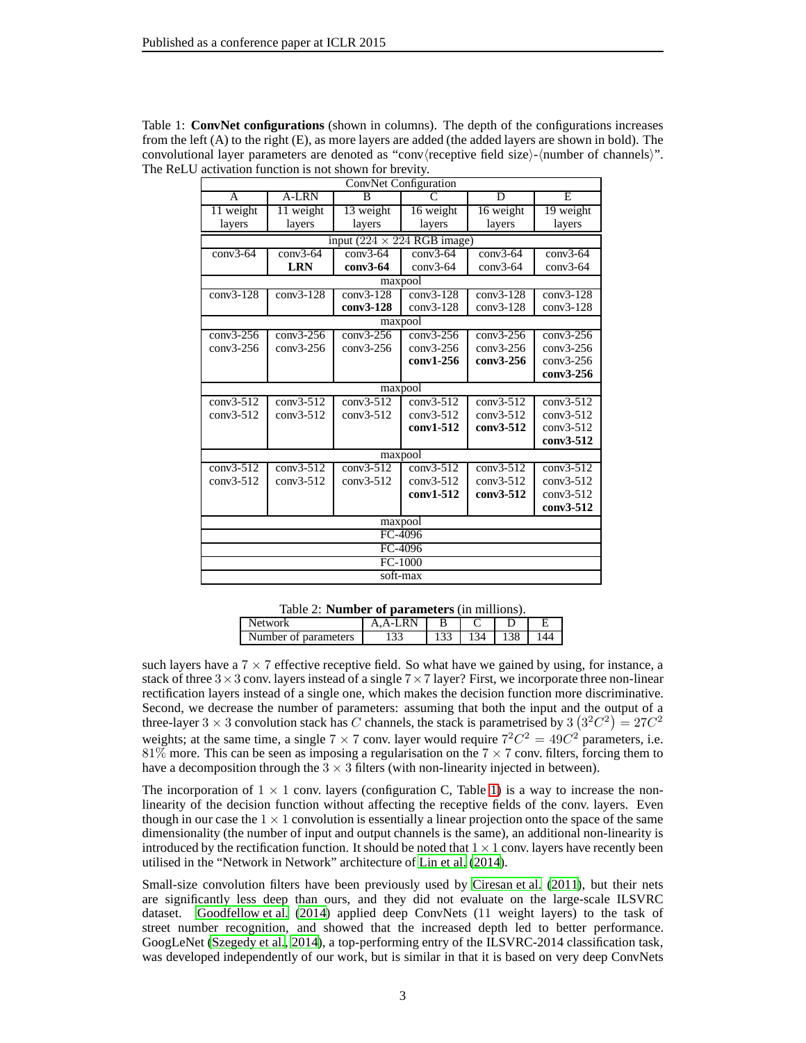<span id="page-2-0"></span>

| ConvNet Configuration         |                               |             |                                     |                |             |  |
|-------------------------------|-------------------------------|-------------|-------------------------------------|----------------|-------------|--|
| $\mathsf{A}$                  | A-LRN                         | B           | $\overline{C}$                      | $\overline{D}$ | E           |  |
| 11 weight                     | 11 weight                     | 13 weight   | 16 weight                           | 16 weight      | 19 weight   |  |
| layers                        | layers                        | layers      | layers                              | layers         | layers      |  |
|                               |                               |             | input ( $224 \times 224$ RGB image) |                |             |  |
| $conv3-64$                    | $conv3-64$                    | $conv3-64$  | $conv3-64$                          | $conv3-64$     | $conv3-64$  |  |
|                               | <b>LRN</b>                    | $conv3-64$  | $conv3-64$                          | $conv3-64$     | $conv3-64$  |  |
|                               |                               |             | maxpool                             |                |             |  |
| $conv3-128$                   | $conv3-128$                   | $conv3-128$ | $conv3-128$                         | $conv3-128$    | $conv3-128$ |  |
|                               |                               | conv3-128   | $conv3-128$                         | $conv3-128$    | $conv3-128$ |  |
|                               |                               |             | maxpool                             |                |             |  |
| $conv3-256$                   | $\overline{\text{conv3-256}}$ | $conv3-256$ | $conv3-256$                         | $conv3-256$    | $conv3-256$ |  |
| $conv3-256$                   | $conv3-256$                   | $conv3-256$ | $conv3-256$                         | $conv3-256$    | $conv3-256$ |  |
|                               |                               |             | conv1-256                           | conv3-256      | $conv3-256$ |  |
|                               |                               |             |                                     |                | conv3-256   |  |
|                               |                               |             | maxpool                             |                |             |  |
| $conv3-512$                   | $conv3-512$                   | $conv3-512$ | $conv3-512$                         | $conv3-512$    | $conv3-512$ |  |
| $conv3-512$                   | $conv3-512$                   | $conv3-512$ | $conv3-512$                         | $conv3-512$    | $conv3-512$ |  |
|                               |                               |             | conv1-512                           | conv3-512      | $conv3-512$ |  |
|                               |                               |             |                                     |                | conv3-512   |  |
|                               |                               |             | maxpool                             |                |             |  |
| $\overline{\text{conv3-512}}$ | $conv3-512$                   | $conv3-512$ | $conv3-512$                         | $conv3-512$    | $conv3-512$ |  |
| $conv3-512$                   | $conv3-512$                   | $conv3-512$ | $conv3-512$                         | $conv3-512$    | $conv3-512$ |  |
|                               |                               |             | conv1-512                           | conv3-512      | $conv3-512$ |  |
|                               |                               |             |                                     |                | conv3-512   |  |
|                               |                               |             | maxpool                             |                |             |  |
|                               | FC-4096                       |             |                                     |                |             |  |
|                               | FC-4096                       |             |                                     |                |             |  |
|                               |                               |             | FC-1000                             |                |             |  |
| soft-max                      |                               |             |                                     |                |             |  |

Table 1: **ConvNet configurations** (shown in columns). The depth of the configurations increases from the left (A) to the right (E), as more layers are added (the added layers are shown in bold). The convolutional layer parameters are denoted as "conv $\langle$ receptive field size $\rangle$ - $\langle$ number of channels $\rangle$ ". The ReLU activation function is not shown for brevity.

<span id="page-2-1"></span>Table 2: **Number of parameters** (in millions).

| <b>Network</b>       | А<br>д |       |      |  |
|----------------------|--------|-------|------|--|
| Number of parameters |        | 1 J J | - 34 |  |

such layers have a  $7 \times 7$  effective receptive field. So what have we gained by using, for instance, a stack of three  $3 \times 3$  conv. layers instead of a single  $7 \times 7$  layer? First, we incorporate three non-linear rectification layers instead of a single one, which makes the decision function more discriminative. Second, we decrease the number of parameters: assuming that both the input and the output of a three-layer 3  $\times$  3 convolution stack has C channels, the stack is parametrised by 3  $(3^2C^2) = 27C^2$ weights; at the same time, a single  $7 \times 7$  conv. layer would require  $7^2C^2 = 49C^2$  parameters, i.e.  $81\%$  more. This can be seen as imposing a regularisation on the 7  $\times$  7 conv. filters, forcing them to have a decomposition through the  $3 \times 3$  filters (with non-linearity injected in between).

The incorporation of  $1 \times 1$  conv. layers (configuration C, Table [1\)](#page-2-0) is a way to increase the nonlinearity of the decision function without affecting the receptive fields of the conv. layers. Even though in our case the  $1 \times 1$  convolution is essentially a linear projection onto the space of the same dimensionality (the number of input and output channels is the same), an additional non-linearity is introduced by the rectification function. It should be noted that  $1 \times 1$  conv. layers have recently been utilised in the "Network in Network" architecture of [Lin et al. \(2014](#page-8-6)).

Small-size convolution filters have been previously used by [Ciresan et al. \(2011\)](#page-8-5), but their nets are significantly less deep than ours, and they did not evaluate on the large-scale ILSVRC dataset. [Goodfellow et al.](#page-8-7) [\(2014\)](#page-8-7) applied deep ConvNets (11 weight layers) to the task of street number recognition, and showed that the increased depth led to better performance. GoogLeNet [\(Szegedy et al.](#page-9-5), [2014\)](#page-9-5), a top-performing entry of the ILSVRC-2014 classification task, was developed independently of our work, but is similar in that it is based on very deep ConvNets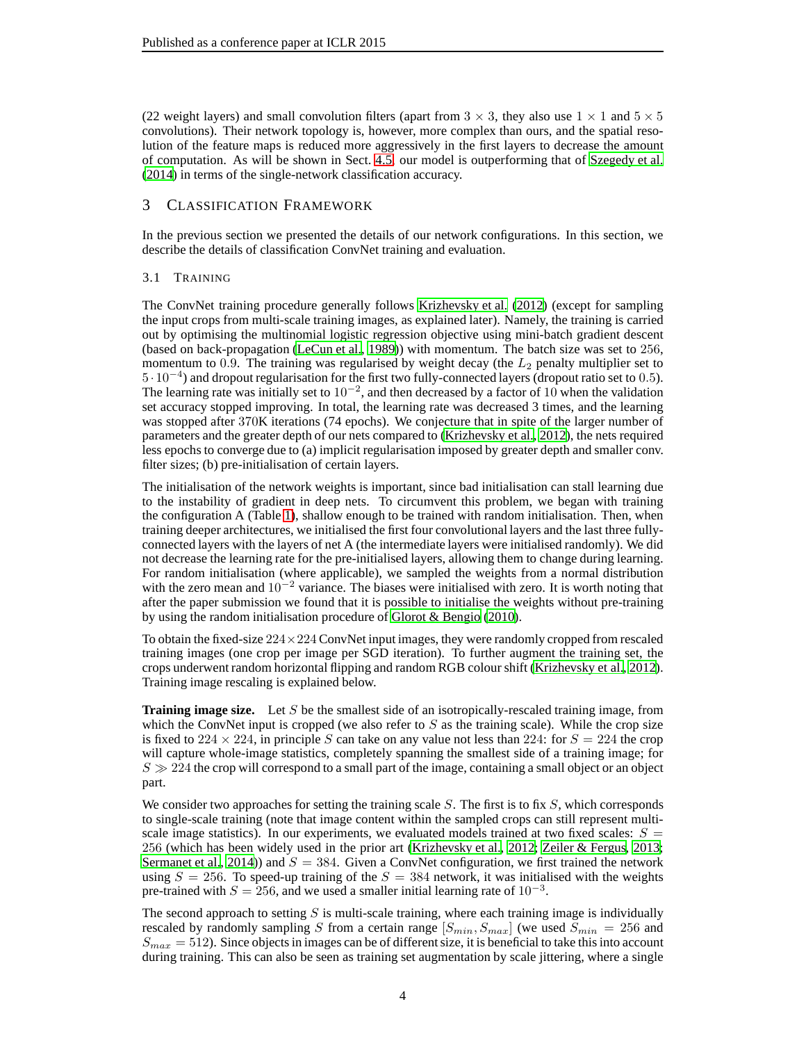(22 weight layers) and small convolution filters (apart from  $3 \times 3$ , they also use  $1 \times 1$  and  $5 \times 5$ convolutions). Their network topology is, however, more complex than ours, and the spatial resolution of the feature maps is reduced more aggressively in the first layers to decrease the amount of computation. As will be shown in Sect. [4.5,](#page-6-0) our model is outperforming that of [Szegedy et al.](#page-9-5) [\(2014\)](#page-9-5) in terms of the single-network classification accuracy.

# <span id="page-3-0"></span>3 CLASSIFICATION FRAMEWORK

<span id="page-3-1"></span>In the previous section we presented the details of our network configurations. In this section, we describe the details of classification ConvNet training and evaluation.

# 3.1 TRAINING

The ConvNet training procedure generally follows [Krizhevsky et al.](#page-8-0) [\(2012\)](#page-8-0) (except for sampling the input crops from multi-scale training images, as explained later). Namely, the training is carried out by optimising the multinomial logistic regression objective using mini-batch gradient descent (based on back-propagation [\(LeCun et al., 1989](#page-8-8))) with momentum. The batch size was set to 256, momentum to 0.9. The training was regularised by weight decay (the  $L_2$  penalty multiplier set to 5 · 10<sup>−</sup><sup>4</sup> ) and dropout regularisation for the first two fully-connected layers (dropout ratio set to 0.5). The learning rate was initially set to  $10^{-2}$ , and then decreased by a factor of 10 when the validation set accuracy stopped improving. In total, the learning rate was decreased 3 times, and the learning was stopped after 370K iterations (74 epochs). We conjecture that in spite of the larger number of parameters and the greater depth of our nets compared to [\(Krizhevsky et al.](#page-8-0), [2012](#page-8-0)), the nets required less epochs to converge due to (a) implicit regularisation imposed by greater depth and smaller conv. filter sizes; (b) pre-initialisation of certain layers.

The initialisation of the network weights is important, since bad initialisation can stall learning due to the instability of gradient in deep nets. To circumvent this problem, we began with training the configuration A (Table [1\)](#page-2-0), shallow enough to be trained with random initialisation. Then, when training deeper architectures, we initialised the first four convolutional layers and the last three fullyconnected layers with the layers of net A (the intermediate layers were initialised randomly). We did not decrease the learning rate for the pre-initialised layers, allowing them to change during learning. For random initialisation (where applicable), we sampled the weights from a normal distribution with the zero mean and  $10^{-2}$  variance. The biases were initialised with zero. It is worth noting that after the paper submission we found that it is possible to initialise the weights without pre-training by using the random initialisation procedure of [Glorot & Bengio \(2010\)](#page-8-9).

To obtain the fixed-size  $224 \times 224$  ConvNet input images, they were randomly cropped from rescaled training images (one crop per image per SGD iteration). To further augment the training set, the crops underwent random horizontal flipping and random RGB colour shift [\(Krizhevsky et al., 2012](#page-8-0)). Training image rescaling is explained below.

**Training image size.** Let S be the smallest side of an isotropically-rescaled training image, from which the ConvNet input is cropped (we also refer to  $S$  as the training scale). While the crop size is fixed to 224  $\times$  224, in principle S can take on any value not less than 224: for  $S = 224$  the crop will capture whole-image statistics, completely spanning the smallest side of a training image; for  $S \gg 224$  the crop will correspond to a small part of the image, containing a small object or an object part.

We consider two approaches for setting the training scale  $S$ . The first is to fix  $S$ , which corresponds to single-scale training (note that image content within the sampled crops can still represent multiscale image statistics). In our experiments, we evaluated models trained at two fixed scales:  $S =$ 256 (which has been widely used in the prior art [\(Krizhevsky et al., 2012](#page-8-0); [Zeiler & Fergus, 2013](#page-9-0); [Sermanet et al., 2014\)](#page-9-1)) and  $S = 384$ . Given a ConvNet configuration, we first trained the network using  $S = 256$ . To speed-up training of the  $S = 384$  network, it was initialised with the weights pre-trained with  $S = 256$ , and we used a smaller initial learning rate of  $10^{-3}$ .

The second approach to setting  $S$  is multi-scale training, where each training image is individually rescaled by randomly sampling S from a certain range  $[S_{min}, S_{max}]$  (we used  $S_{min} = 256$  and  $S_{max} = 512$ ). Since objects in images can be of different size, it is beneficial to take this into account during training. This can also be seen as training set augmentation by scale jittering, where a single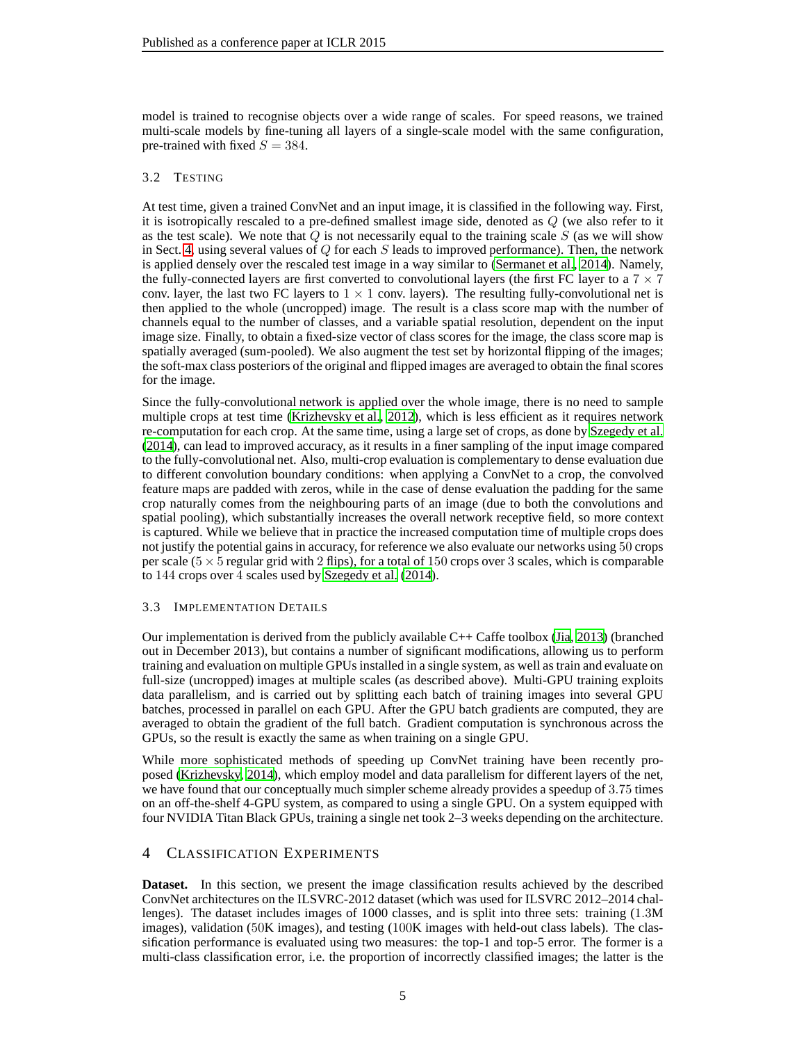model is trained to recognise objects over a wide range of scales. For speed reasons, we trained multi-scale models by fine-tuning all layers of a single-scale model with the same configuration, pre-trained with fixed  $S = 384$ .

# <span id="page-4-1"></span>3.2 TESTING

At test time, given a trained ConvNet and an input image, it is classified in the following way. First, it is isotropically rescaled to a pre-defined smallest image side, denoted as Q (we also refer to it as the test scale). We note that  $Q$  is not necessarily equal to the training scale  $S$  (as we will show in Sect. [4,](#page-4-0) using several values of  $Q$  for each  $S$  leads to improved performance). Then, the network is applied densely over the rescaled test image in a way similar to [\(Sermanet et al.](#page-9-1), [2014\)](#page-9-1). Namely, the fully-connected layers are first converted to convolutional layers (the first FC layer to a  $7 \times 7$ conv. layer, the last two FC layers to  $1 \times 1$  conv. layers). The resulting fully-convolutional net is then applied to the whole (uncropped) image. The result is a class score map with the number of channels equal to the number of classes, and a variable spatial resolution, dependent on the input image size. Finally, to obtain a fixed-size vector of class scores for the image, the class score map is spatially averaged (sum-pooled). We also augment the test set by horizontal flipping of the images; the soft-max class posteriors of the original and flipped images are averaged to obtain the final scores for the image.

Since the fully-convolutional network is applied over the whole image, there is no need to sample multiple crops at test time [\(Krizhevsky et al., 2012\)](#page-8-0), which is less efficient as it requires network re-computation for each crop. At the same time, using a large set of crops, as done by [Szegedy et al.](#page-9-5) [\(2014\)](#page-9-5), can lead to improved accuracy, as it results in a finer sampling of the input image compared to the fully-convolutional net. Also, multi-crop evaluation is complementary to dense evaluation due to different convolution boundary conditions: when applying a ConvNet to a crop, the convolved feature maps are padded with zeros, while in the case of dense evaluation the padding for the same crop naturally comes from the neighbouring parts of an image (due to both the convolutions and spatial pooling), which substantially increases the overall network receptive field, so more context is captured. While we believe that in practice the increased computation time of multiple crops does not justify the potential gains in accuracy, for reference we also evaluate our networks using 50 crops per scale ( $5 \times 5$  regular grid with 2 flips), for a total of 150 crops over 3 scales, which is comparable to 144 crops over 4 scales used by [Szegedy et al. \(2014\)](#page-9-5).

## 3.3 IMPLEMENTATION DETAILS

Our implementation is derived from the publicly available C++ Caffe toolbox [\(Jia, 2013\)](#page-8-10) (branched out in December 2013), but contains a number of significant modifications, allowing us to perform training and evaluation on multiple GPUs installed in a single system, as well as train and evaluate on full-size (uncropped) images at multiple scales (as described above). Multi-GPU training exploits data parallelism, and is carried out by splitting each batch of training images into several GPU batches, processed in parallel on each GPU. After the GPU batch gradients are computed, they are averaged to obtain the gradient of the full batch. Gradient computation is synchronous across the GPUs, so the result is exactly the same as when training on a single GPU.

While more sophisticated methods of speeding up ConvNet training have been recently proposed [\(Krizhevsky, 2014\)](#page-8-11), which employ model and data parallelism for different layers of the net, we have found that our conceptually much simpler scheme already provides a speedup of 3.75 times on an off-the-shelf 4-GPU system, as compared to using a single GPU. On a system equipped with four NVIDIA Titan Black GPUs, training a single net took 2–3 weeks depending on the architecture.

# <span id="page-4-0"></span>4 CLASSIFICATION EXPERIMENTS

**Dataset.** In this section, we present the image classification results achieved by the described ConvNet architectures on the ILSVRC-2012 dataset (which was used for ILSVRC 2012–2014 challenges). The dataset includes images of 1000 classes, and is split into three sets: training (1.3M images), validation (50K images), and testing (100K images with held-out class labels). The classification performance is evaluated using two measures: the top-1 and top-5 error. The former is a multi-class classification error, i.e. the proportion of incorrectly classified images; the latter is the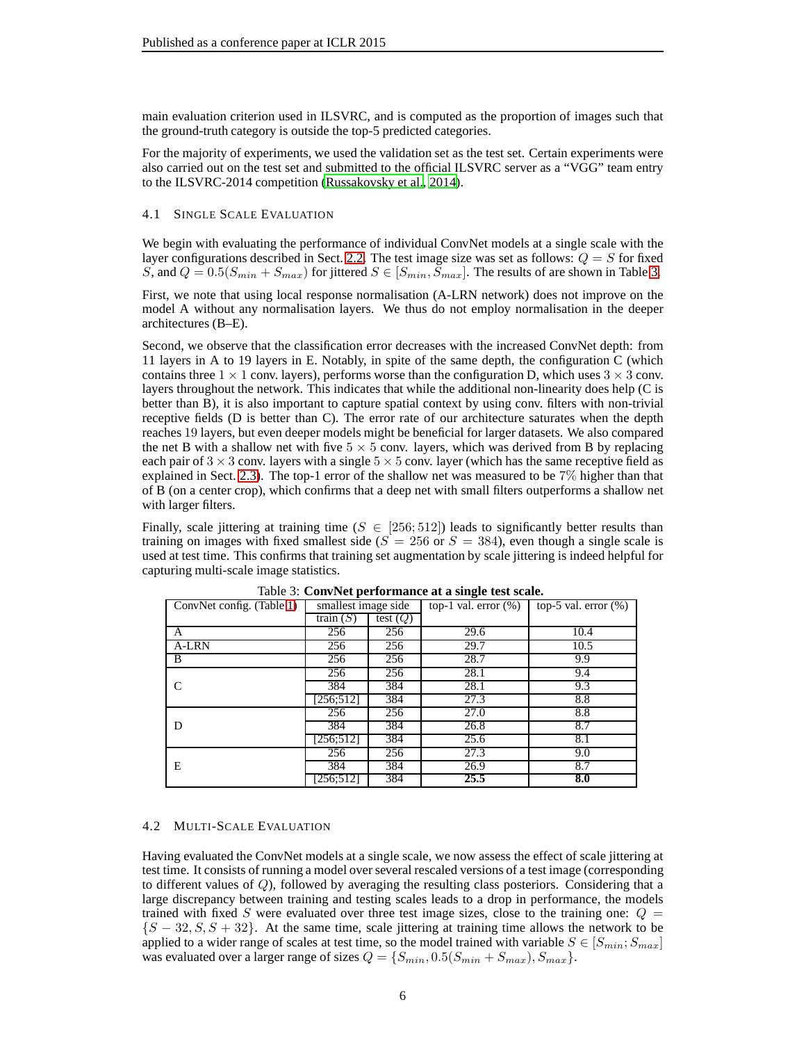main evaluation criterion used in ILSVRC, and is computed as the proportion of images such that the ground-truth category is outside the top-5 predicted categories.

For the majority of experiments, we used the validation set as the test set. Certain experiments were also carried out on the test set and submitted to the official ILSVRC server as a "VGG" team entry to the ILSVRC-2014 competition [\(Russakovsky et al., 2014\)](#page-9-3).

#### 4.1 SINGLE SCALE EVALUATION

We begin with evaluating the performance of individual ConvNet models at a single scale with the layer configurations described in Sect. [2.2.](#page-1-2) The test image size was set as follows:  $Q = S$  for fixed S, and  $Q = 0.5(S_{min} + S_{max})$  for jittered  $S \in [S_{min}, S_{max}]$ . The results of are shown in Table [3.](#page-5-0)

First, we note that using local response normalisation (A-LRN network) does not improve on the model A without any normalisation layers. We thus do not employ normalisation in the deeper architectures (B–E).

Second, we observe that the classification error decreases with the increased ConvNet depth: from 11 layers in A to 19 layers in E. Notably, in spite of the same depth, the configuration C (which contains three  $1 \times 1$  conv. layers), performs worse than the configuration D, which uses  $3 \times 3$  conv. layers throughout the network. This indicates that while the additional non-linearity does help (C is better than B), it is also important to capture spatial context by using conv. filters with non-trivial receptive fields (D is better than C). The error rate of our architecture saturates when the depth reaches 19 layers, but even deeper models might be beneficial for larger datasets. We also compared the net B with a shallow net with five  $5 \times 5$  conv. layers, which was derived from B by replacing each pair of  $3 \times 3$  conv. layers with a single  $5 \times 5$  conv. layer (which has the same receptive field as explained in Sect. [2.3\)](#page-1-3). The top-1 error of the shallow net was measured to be 7% higher than that of B (on a center crop), which confirms that a deep net with small filters outperforms a shallow net with larger filters.

Finally, scale jittering at training time ( $S \in [256; 512]$ ) leads to significantly better results than training on images with fixed smallest side ( $S = 256$  or  $S = 384$ ), even though a single scale is used at test time. This confirms that training set augmentation by scale jittering is indeed helpful for capturing multi-scale image statistics.

| ConvNet config. (Table 1) | smallest image side |            | top-1 val. error $(\%)$ | top-5 val. error $(\%)$ |
|---------------------------|---------------------|------------|-------------------------|-------------------------|
|                           | train $(S)$         | test $(Q)$ |                         |                         |
| A                         | 256                 | 256        | 29.6                    | 10.4                    |
| A-LRN                     | 256                 | 256        | 29.7                    | 10.5                    |
| B                         | 256                 | 256        | 28.7                    | 9.9                     |
|                           | 256                 | 256        | 28.1                    | 9.4                     |
| C                         | 384                 | 384        | 28.1                    | 9.3                     |
|                           | [256;512]           | 384        | 27.3                    | 8.8                     |
|                           | 256                 | 256        | 27.0                    | 8.8                     |
| D                         | 384                 | 384        | 26.8                    | 8.7                     |
|                           | [256;512]           | 384        | 25.6                    | 8.1                     |
|                           | 256                 | 256        | 27.3                    | 9.0                     |
| Е                         | 384                 | 384        | 26.9                    | 8.7                     |
|                           | [256:512]           | 384        | 25.5                    | 8.0                     |

<span id="page-5-0"></span>Table 3: **ConvNet performance at a single test scale.**

#### <span id="page-5-1"></span>4.2 MULTI-SCALE EVALUATION

Having evaluated the ConvNet models at a single scale, we now assess the effect of scale jittering at test time. It consists of running a model over several rescaled versions of a test image (corresponding to different values of Q), followed by averaging the resulting class posteriors. Considering that a large discrepancy between training and testing scales leads to a drop in performance, the models trained with fixed S were evaluated over three test image sizes, close to the training one:  $Q =$  ${S - 32, S, S + 32}$ . At the same time, scale jittering at training time allows the network to be applied to a wider range of scales at test time, so the model trained with variable  $S \in [S_{min}; S_{max}]$ was evaluated over a larger range of sizes  $Q = \{S_{min}, 0.5(S_{min} + S_{max}), S_{max}\}.$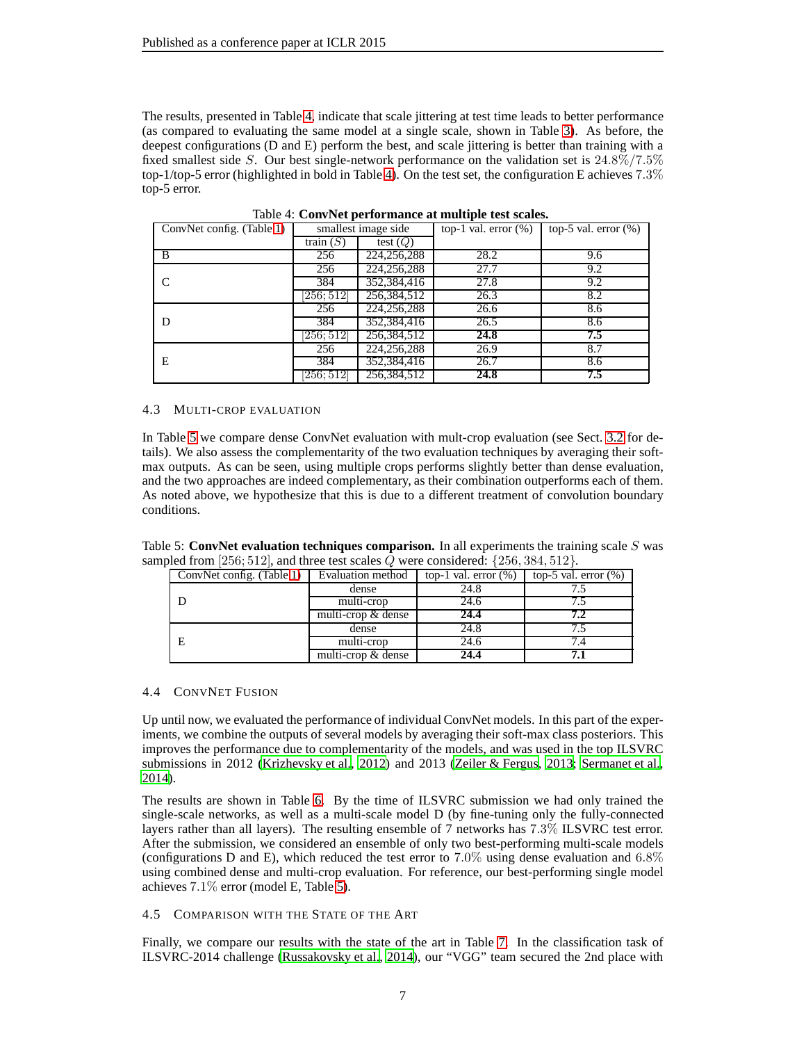The results, presented in Table [4,](#page-6-1) indicate that scale jittering at test time leads to better performance (as compared to evaluating the same model at a single scale, shown in Table [3\)](#page-5-0). As before, the deepest configurations (D and E) perform the best, and scale jittering is better than training with a fixed smallest side S. Our best single-network performance on the validation set is 24.8%/7.5% top-1/top-5 error (highlighted in bold in Table [4\)](#page-6-1). On the test set, the configuration E achieves 7.3% top-5 error.

| ConvNet config. (Table 1) | smallest image side |               | top-1 val. error $(\%)$ | top-5 val. error $(\%)$ |
|---------------------------|---------------------|---------------|-------------------------|-------------------------|
|                           | train $(S)$         | test $(Q)$    |                         |                         |
| B                         | 256                 | 224, 256, 288 | 28.2                    | 9.6                     |
|                           | 256                 | 224, 256, 288 | 27.7                    | 9.2                     |
|                           | 384                 | 352,384,416   | 27.8                    | 9.2                     |
|                           | 256; 512            | 256,384,512   | 26.3                    | 8.2                     |
|                           | 256                 | 224, 256, 288 | 26.6                    | 8.6                     |
| D                         | 384                 | 352,384,416   | 26.5                    | 8.6                     |
|                           | 256; 512            | 256,384,512   | 24.8                    | 7.5                     |
|                           | 256                 | 224,256,288   | 26.9                    | 8.7                     |
| Е                         | 384                 | 352,384,416   | 26.7                    | 8.6                     |
|                           | 256: 512            | 256,384,512   | 24.8                    | 7.5                     |

<span id="page-6-1"></span>Table 4: **ConvNet performance at multiple test scales.**

#### 4.3 MULTI-CROP EVALUATION

In Table [5](#page-6-2) we compare dense ConvNet evaluation with mult-crop evaluation (see Sect. [3.2](#page-4-1) for details). We also assess the complementarity of the two evaluation techniques by averaging their softmax outputs. As can be seen, using multiple crops performs slightly better than dense evaluation, and the two approaches are indeed complementary, as their combination outperforms each of them. As noted above, we hypothesize that this is due to a different treatment of convolution boundary conditions.

Table 5: **ConvNet evaluation techniques comparison.** In all experiments the training scale  $S$  was sampled from [256; 512], and three test scales  $Q$  were considered: {256, 384, 512}.

<span id="page-6-2"></span>

| ConvNet config. (Table 1) | Evaluation method  | top-1 val. error $(\%)$ | top-5 val. error $(\%)$ |
|---------------------------|--------------------|-------------------------|-------------------------|
|                           | dense              | 24.8                    |                         |
|                           | multi-crop         | 24.6                    |                         |
|                           | multi-crop & dense | 24.4                    | 7.2                     |
|                           | dense              | 24.8                    |                         |
|                           | multi-crop         | 24.6                    |                         |
|                           | multi-crop & dense | 24.4                    |                         |

## 4.4 CONVNET FUSION

Up until now, we evaluated the performance of individual ConvNet models. In this part of the experiments, we combine the outputs of several models by averaging their soft-max class posteriors. This improves the performance due to complementarity of the models, and was used in the top ILSVRC submissions in 2012 [\(Krizhevsky et al., 2012](#page-8-0)) and 2013 [\(Zeiler & Fergus](#page-9-0), [2013;](#page-9-0) [Sermanet et al.,](#page-9-1) [2014\)](#page-9-1).

The results are shown in Table [6.](#page-7-1) By the time of ILSVRC submission we had only trained the single-scale networks, as well as a multi-scale model D (by fine-tuning only the fully-connected layers rather than all layers). The resulting ensemble of 7 networks has 7.3% ILSVRC test error. After the submission, we considered an ensemble of only two best-performing multi-scale models (configurations D and E), which reduced the test error to 7.0% using dense evaluation and 6.8% using combined dense and multi-crop evaluation. For reference, our best-performing single model achieves 7.1% error (model E, Table [5\)](#page-6-2).

## <span id="page-6-0"></span>4.5 COMPARISON WITH THE STATE OF THE ART

Finally, we compare our results with the state of the art in Table [7.](#page-7-2) In the classification task of ILSVRC-2014 challenge [\(Russakovsky et al.](#page-9-3), [2014\)](#page-9-3), our "VGG" team secured the 2nd place with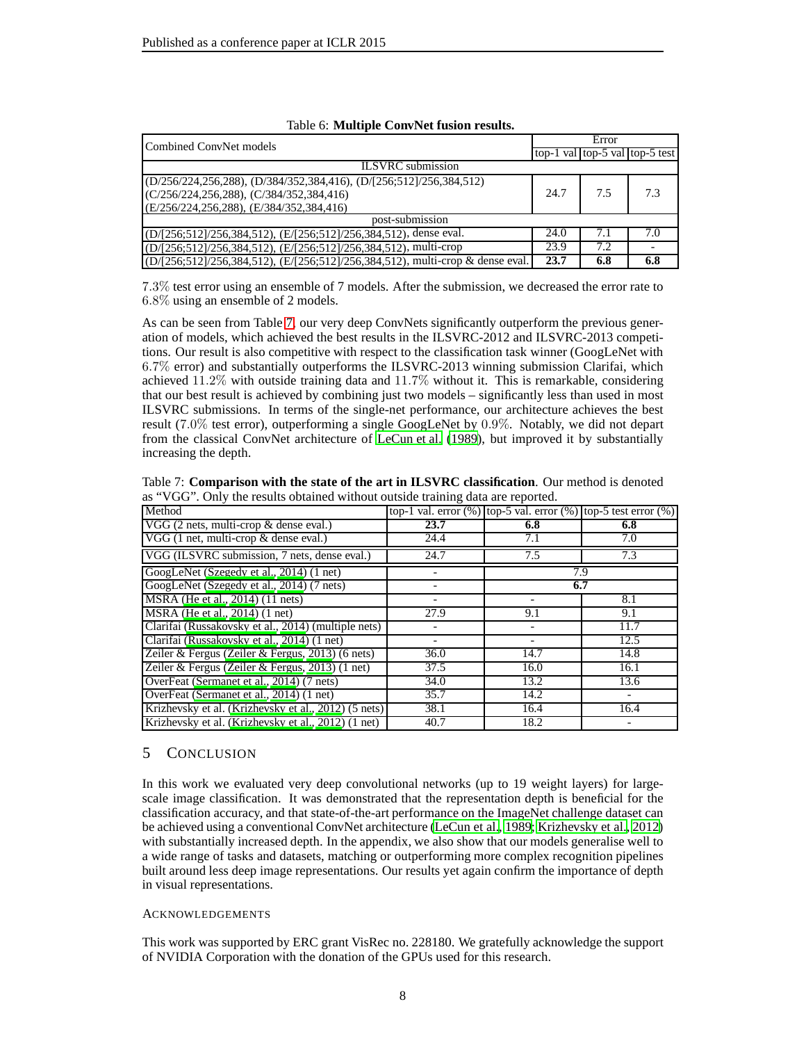| Combined ConvNet models                                                        |      | Error |                                |  |  |
|--------------------------------------------------------------------------------|------|-------|--------------------------------|--|--|
|                                                                                |      |       | top-1 val top-5 val top-5 test |  |  |
| <b>ILSVRC</b> submission                                                       |      |       |                                |  |  |
| $(D/256/224, 256, 288), (D/384/352, 384, 416), (D/1256, 512)/256, 384, 512)$   |      |       |                                |  |  |
| $(C/256/224, 256, 288)$ , $(C/384/352, 384, 416)$                              | 24.7 | 7.5   | 7.3                            |  |  |
| (E/256/224,256,288), (E/384/352,384,416)                                       |      |       |                                |  |  |
| post-submission                                                                |      |       |                                |  |  |
| (D/[256;512]/256,384,512), (E/[256;512]/256,384,512), dense eval.              | 24.0 | 7.1   | 7.0                            |  |  |
| (D/[256;512]/256,384,512), (E/[256;512]/256,384,512), multi-crop               | 23.9 | 7.2   |                                |  |  |
| (D/[256;512]/256,384,512), (E/[256;512]/256,384,512), multi-crop & dense eval. | 23.7 | 6.8   | 6.8                            |  |  |

<span id="page-7-1"></span>

|  | Table 6: Multiple ConvNet fusion results. |  |  |  |
|--|-------------------------------------------|--|--|--|
|--|-------------------------------------------|--|--|--|

7.3% test error using an ensemble of 7 models. After the submission, we decreased the error rate to 6.8% using an ensemble of 2 models.

As can be seen from Table [7,](#page-7-2) our very deep ConvNets significantly outperform the previous generation of models, which achieved the best results in the ILSVRC-2012 and ILSVRC-2013 competitions. Our result is also competitive with respect to the classification task winner (GoogLeNet with 6.7% error) and substantially outperforms the ILSVRC-2013 winning submission Clarifai, which achieved 11.2% with outside training data and 11.7% without it. This is remarkable, considering that our best result is achieved by combining just two models – significantly less than used in most ILSVRC submissions. In terms of the single-net performance, our architecture achieves the best result (7.0% test error), outperforming a single GoogLeNet by 0.9%. Notably, we did not depart from the classical ConvNet architecture of [LeCun et al.](#page-8-8) [\(1989\)](#page-8-8), but improved it by substantially increasing the depth.

<span id="page-7-2"></span>

| Table 7: Comparison with the state of the art in ILSVRC classification. Our method is denoted |
|-----------------------------------------------------------------------------------------------|
| as "VGG". Only the results obtained without outside training data are reported.               |

| Method                                               | top-1 val. error $(\%)$ top-5 val. error $(\%)$ top-5 test error $(\%)$ |      |      |
|------------------------------------------------------|-------------------------------------------------------------------------|------|------|
| VGG (2 nets, multi-crop & dense eval.)               | 23.7                                                                    | 6.8  | 6.8  |
| VGG (1 net, multi-crop & dense eval.)                | 24.4                                                                    | 7.1  | 7.0  |
| VGG (ILSVRC submission, 7 nets, dense eval.)         | 24.7                                                                    | 7.5  | 7.3  |
| GoogLeNet (Szegedy et al., 2014) (1 net)             |                                                                         |      | 7.9  |
| GoogLeNet (Szegedy et al., 2014) (7 nets)            |                                                                         |      | 6.7  |
| MSRA (He et al., 2014) (11 nets)                     |                                                                         |      | 8.1  |
| MSRA (He et al., 2014) (1 net)                       | 27.9                                                                    | 9.1  | 9.1  |
| Clarifai (Russakovsky et al., 2014) (multiple nets)  |                                                                         |      | 11.7 |
| Clarifai (Russakovsky et al., 2014) (1 net)          |                                                                         |      | 12.5 |
| Zeiler & Fergus (Zeiler & Fergus, 2013) (6 nets)     | 36.0                                                                    | 14.7 | 14.8 |
| Zeiler & Fergus (Zeiler & Fergus, 2013) $(1$ net)    | 37.5                                                                    | 16.0 | 16.1 |
| OverFeat (Sermanet et al., 2014) (7 nets)            | 34.0                                                                    | 13.2 | 13.6 |
| OverFeat (Sermanet et al., 2014) (1 net)             | 35.7                                                                    | 14.2 |      |
| Krizhevsky et al. (Krizhevsky et al., 2012) (5 nets) | 38.1                                                                    | 16.4 | 16.4 |
| Krizhevsky et al. (Krizhevsky et al., 2012) (1 net)  | 40.7                                                                    | 18.2 |      |

# <span id="page-7-0"></span>5 CONCLUSION

In this work we evaluated very deep convolutional networks (up to 19 weight layers) for largescale image classification. It was demonstrated that the representation depth is beneficial for the classification accuracy, and that state-of-the-art performance on the ImageNet challenge dataset can be achieved using a conventional ConvNet architecture [\(LeCun et al.](#page-8-8), [1989;](#page-8-8) [Krizhevsky et al.](#page-8-0), [2012\)](#page-8-0) with substantially increased depth. In the appendix, we also show that our models generalise well to a wide range of tasks and datasets, matching or outperforming more complex recognition pipelines built around less deep image representations. Our results yet again confirm the importance of depth in visual representations.

## ACKNOWLEDGEMENTS

This work was supported by ERC grant VisRec no. 228180. We gratefully acknowledge the support of NVIDIA Corporation with the donation of the GPUs used for this research.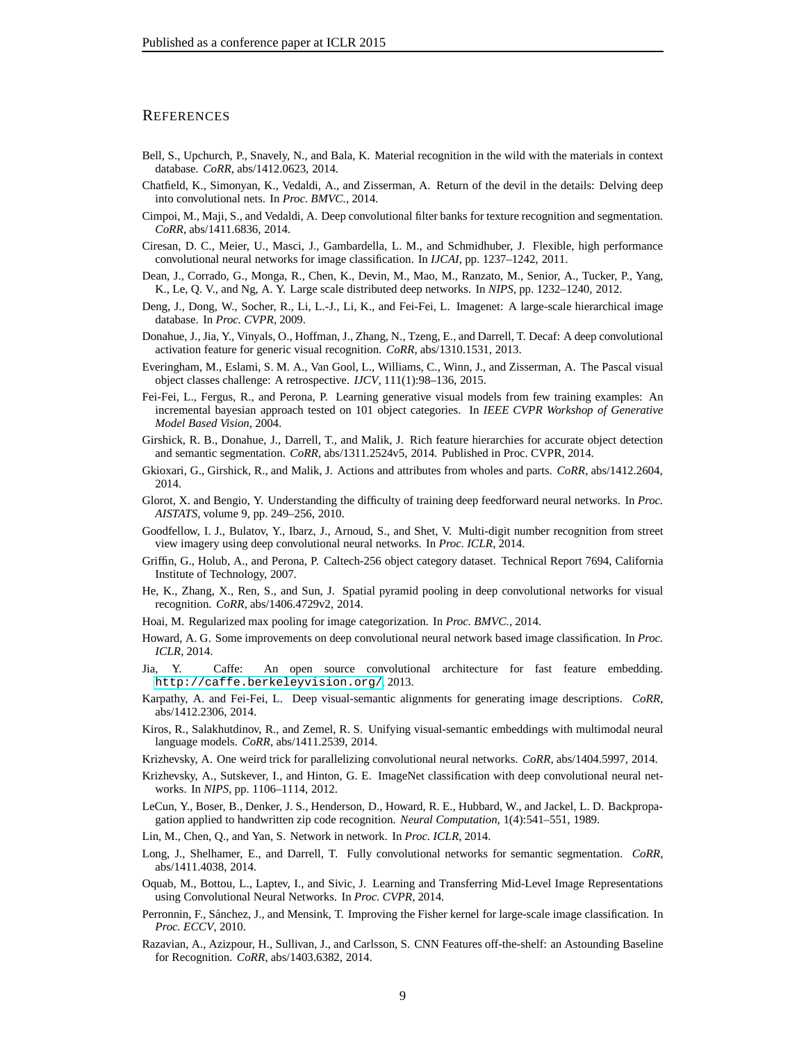### **REFERENCES**

- <span id="page-8-27"></span>Bell, S., Upchurch, P., Snavely, N., and Bala, K. Material recognition in the wild with the materials in context database. *CoRR*, abs/1412.0623, 2014.
- <span id="page-8-15"></span>Chatfield, K., Simonyan, K., Vedaldi, A., and Zisserman, A. Return of the devil in the details: Delving deep into convolutional nets. In *Proc. BMVC.*, 2014.
- <span id="page-8-26"></span>Cimpoi, M., Maji, S., and Vedaldi, A. Deep convolutional filter banks for texture recognition and segmentation. *CoRR*, abs/1411.6836, 2014.
- <span id="page-8-5"></span>Ciresan, D. C., Meier, U., Masci, J., Gambardella, L. M., and Schmidhuber, J. Flexible, high performance convolutional neural networks for image classification. In *IJCAI*, pp. 1237–1242, 2011.
- <span id="page-8-2"></span>Dean, J., Corrado, G., Monga, R., Chen, K., Devin, M., Mao, M., Ranzato, M., Senior, A., Tucker, P., Yang, K., Le, Q. V., and Ng, A. Y. Large scale distributed deep networks. In *NIPS*, pp. 1232–1240, 2012.
- <span id="page-8-1"></span>Deng, J., Dong, W., Socher, R., Li, L.-J., Li, K., and Fei-Fei, L. Imagenet: A large-scale hierarchical image database. In *Proc. CVPR*, 2009.
- <span id="page-8-13"></span>Donahue, J., Jia, Y., Vinyals, O., Hoffman, J., Zhang, N., Tzeng, E., and Darrell, T. Decaf: A deep convolutional activation feature for generic visual recognition. *CoRR*, abs/1310.1531, 2013.
- <span id="page-8-16"></span>Everingham, M., Eslami, S. M. A., Van Gool, L., Williams, C., Winn, J., and Zisserman, A. The Pascal visual object classes challenge: A retrospective. *IJCV*, 111(1):98–136, 2015.
- <span id="page-8-17"></span>Fei-Fei, L., Fergus, R., and Perona, P. Learning generative visual models from few training examples: An incremental bayesian approach tested on 101 object categories. In *IEEE CVPR Workshop of Generative Model Based Vision*, 2004.
- <span id="page-8-19"></span>Girshick, R. B., Donahue, J., Darrell, T., and Malik, J. Rich feature hierarchies for accurate object detection and semantic segmentation. *CoRR*, abs/1311.2524v5, 2014. Published in Proc. CVPR, 2014.
- <span id="page-8-21"></span>Gkioxari, G., Girshick, R., and Malik, J. Actions and attributes from wholes and parts. *CoRR*, abs/1412.2604, 2014.
- <span id="page-8-9"></span>Glorot, X. and Bengio, Y. Understanding the difficulty of training deep feedforward neural networks. In *Proc. AISTATS*, volume 9, pp. 249–256, 2010.
- <span id="page-8-7"></span>Goodfellow, I. J., Bulatov, Y., Ibarz, J., Arnoud, S., and Shet, V. Multi-digit number recognition from street view imagery using deep convolutional neural networks. In *Proc. ICLR*, 2014.
- <span id="page-8-18"></span>Griffin, G., Holub, A., and Perona, P. Caltech-256 object category dataset. Technical Report 7694, California Institute of Technology, 2007.
- <span id="page-8-12"></span>He, K., Zhang, X., Ren, S., and Sun, J. Spatial pyramid pooling in deep convolutional networks for visual recognition. *CoRR*, abs/1406.4729v2, 2014.
- <span id="page-8-22"></span>Hoai, M. Regularized max pooling for image categorization. In *Proc. BMVC.*, 2014.
- <span id="page-8-4"></span>Howard, A. G. Some improvements on deep convolutional neural network based image classification. In *Proc. ICLR*, 2014.
- <span id="page-8-10"></span>Jia, Y. Caffe: An open source convolutional architecture for fast feature embedding. <http://caffe.berkeleyvision.org/>, 2013.
- <span id="page-8-25"></span>Karpathy, A. and Fei-Fei, L. Deep visual-semantic alignments for generating image descriptions. *CoRR*, abs/1412.2306, 2014.
- <span id="page-8-24"></span>Kiros, R., Salakhutdinov, R., and Zemel, R. S. Unifying visual-semantic embeddings with multimodal neural language models. *CoRR*, abs/1411.2539, 2014.
- <span id="page-8-11"></span>Krizhevsky, A. One weird trick for parallelizing convolutional neural networks. *CoRR*, abs/1404.5997, 2014.
- <span id="page-8-0"></span>Krizhevsky, A., Sutskever, I., and Hinton, G. E. ImageNet classification with deep convolutional neural networks. In *NIPS*, pp. 1106–1114, 2012.
- <span id="page-8-8"></span>LeCun, Y., Boser, B., Denker, J. S., Henderson, D., Howard, R. E., Hubbard, W., and Jackel, L. D. Backpropagation applied to handwritten zip code recognition. *Neural Computation*, 1(4):541–551, 1989.
- <span id="page-8-6"></span>Lin, M., Chen, Q., and Yan, S. Network in network. In *Proc. ICLR*, 2014.
- <span id="page-8-23"></span>Long, J., Shelhamer, E., and Darrell, T. Fully convolutional networks for semantic segmentation. *CoRR*, abs/1411.4038, 2014.
- <span id="page-8-20"></span>Oquab, M., Bottou, L., Laptev, I., and Sivic, J. Learning and Transferring Mid-Level Image Representations using Convolutional Neural Networks. In *Proc. CVPR*, 2014.
- <span id="page-8-3"></span>Perronnin, F., Sánchez, J., and Mensink, T. Improving the Fisher kernel for large-scale image classification. In *Proc. ECCV*, 2010.
- <span id="page-8-14"></span>Razavian, A., Azizpour, H., Sullivan, J., and Carlsson, S. CNN Features off-the-shelf: an Astounding Baseline for Recognition. *CoRR*, abs/1403.6382, 2014.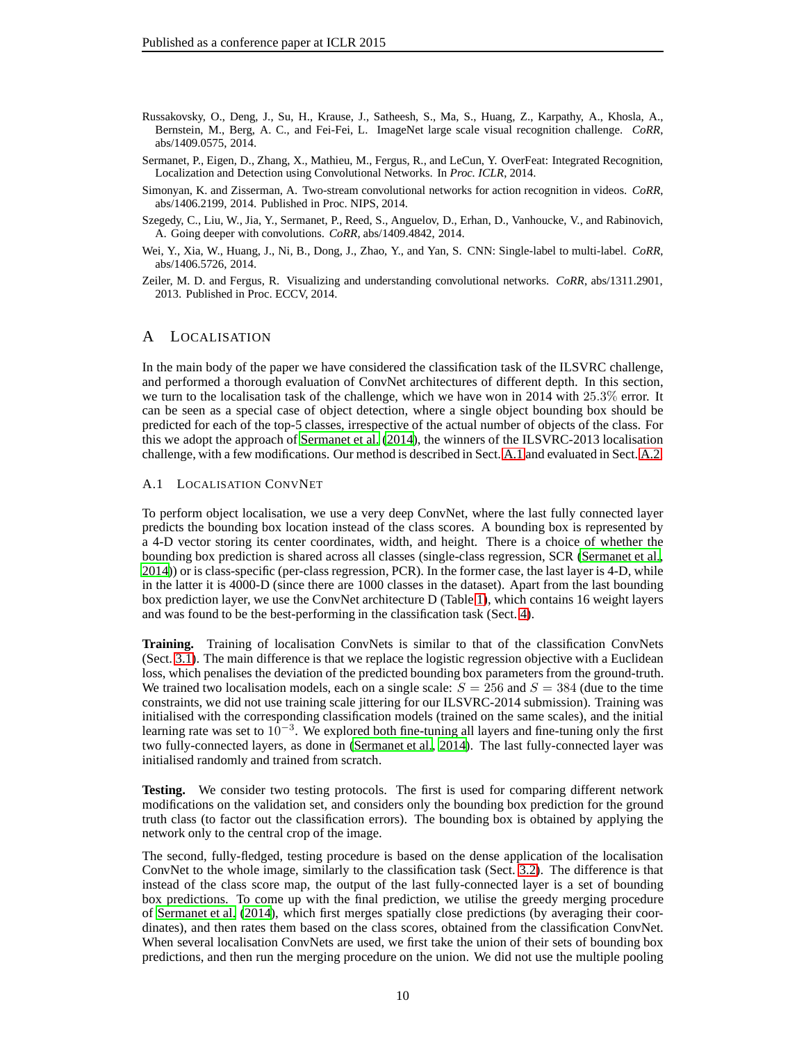- <span id="page-9-3"></span>Russakovsky, O., Deng, J., Su, H., Krause, J., Satheesh, S., Ma, S., Huang, Z., Karpathy, A., Khosla, A., Bernstein, M., Berg, A. C., and Fei-Fei, L. ImageNet large scale visual recognition challenge. *CoRR*, abs/1409.0575, 2014.
- <span id="page-9-1"></span>Sermanet, P., Eigen, D., Zhang, X., Mathieu, M., Fergus, R., and LeCun, Y. OverFeat: Integrated Recognition, Localization and Detection using Convolutional Networks. In *Proc. ICLR*, 2014.
- <span id="page-9-2"></span>Simonyan, K. and Zisserman, A. Two-stream convolutional networks for action recognition in videos. *CoRR*, abs/1406.2199, 2014. Published in Proc. NIPS, 2014.
- <span id="page-9-5"></span>Szegedy, C., Liu, W., Jia, Y., Sermanet, P., Reed, S., Anguelov, D., Erhan, D., Vanhoucke, V., and Rabinovich, A. Going deeper with convolutions. *CoRR*, abs/1409.4842, 2014.
- <span id="page-9-7"></span>Wei, Y., Xia, W., Huang, J., Ni, B., Dong, J., Zhao, Y., and Yan, S. CNN: Single-label to multi-label. *CoRR*, abs/1406.5726, 2014.
- <span id="page-9-4"></span><span id="page-9-0"></span>Zeiler, M. D. and Fergus, R. Visualizing and understanding convolutional networks. *CoRR*, abs/1311.2901, 2013. Published in Proc. ECCV, 2014.

# A LOCALISATION

In the main body of the paper we have considered the classification task of the ILSVRC challenge, and performed a thorough evaluation of ConvNet architectures of different depth. In this section, we turn to the localisation task of the challenge, which we have won in 2014 with 25.3% error. It can be seen as a special case of object detection, where a single object bounding box should be predicted for each of the top-5 classes, irrespective of the actual number of objects of the class. For this we adopt the approach of [Sermanet et al. \(2014\)](#page-9-1), the winners of the ILSVRC-2013 localisation challenge, with a few modifications. Our method is described in Sect. [A.1](#page-9-6) and evaluated in Sect. [A.2.](#page-10-1)

#### <span id="page-9-6"></span>A.1 LOCALISATION CONVNET

To perform object localisation, we use a very deep ConvNet, where the last fully connected layer predicts the bounding box location instead of the class scores. A bounding box is represented by a 4-D vector storing its center coordinates, width, and height. There is a choice of whether the bounding box prediction is shared across all classes (single-class regression, SCR [\(Sermanet et al.,](#page-9-1) [2014\)](#page-9-1)) or is class-specific (per-class regression, PCR). In the former case, the last layer is 4-D, while in the latter it is 4000-D (since there are 1000 classes in the dataset). Apart from the last bounding box prediction layer, we use the ConvNet architecture D (Table [1\)](#page-2-0), which contains 16 weight layers and was found to be the best-performing in the classification task (Sect. [4\)](#page-4-0).

Training. Training of localisation ConvNets is similar to that of the classification ConvNets (Sect. [3.1\)](#page-3-1). The main difference is that we replace the logistic regression objective with a Euclidean loss, which penalises the deviation of the predicted bounding box parameters from the ground-truth. We trained two localisation models, each on a single scale:  $S = 256$  and  $S = 384$  (due to the time constraints, we did not use training scale jittering for our ILSVRC-2014 submission). Training was initialised with the corresponding classification models (trained on the same scales), and the initial learning rate was set to  $10^{-3}$ . We explored both fine-tuning all layers and fine-tuning only the first two fully-connected layers, as done in [\(Sermanet et al.](#page-9-1), [2014\)](#page-9-1). The last fully-connected layer was initialised randomly and trained from scratch.

**Testing.** We consider two testing protocols. The first is used for comparing different network modifications on the validation set, and considers only the bounding box prediction for the ground truth class (to factor out the classification errors). The bounding box is obtained by applying the network only to the central crop of the image.

The second, fully-fledged, testing procedure is based on the dense application of the localisation ConvNet to the whole image, similarly to the classification task (Sect. [3.2\)](#page-4-1). The difference is that instead of the class score map, the output of the last fully-connected layer is a set of bounding box predictions. To come up with the final prediction, we utilise the greedy merging procedure of [Sermanet et al. \(2014\)](#page-9-1), which first merges spatially close predictions (by averaging their coordinates), and then rates them based on the class scores, obtained from the classification ConvNet. When several localisation ConvNets are used, we first take the union of their sets of bounding box predictions, and then run the merging procedure on the union. We did not use the multiple pooling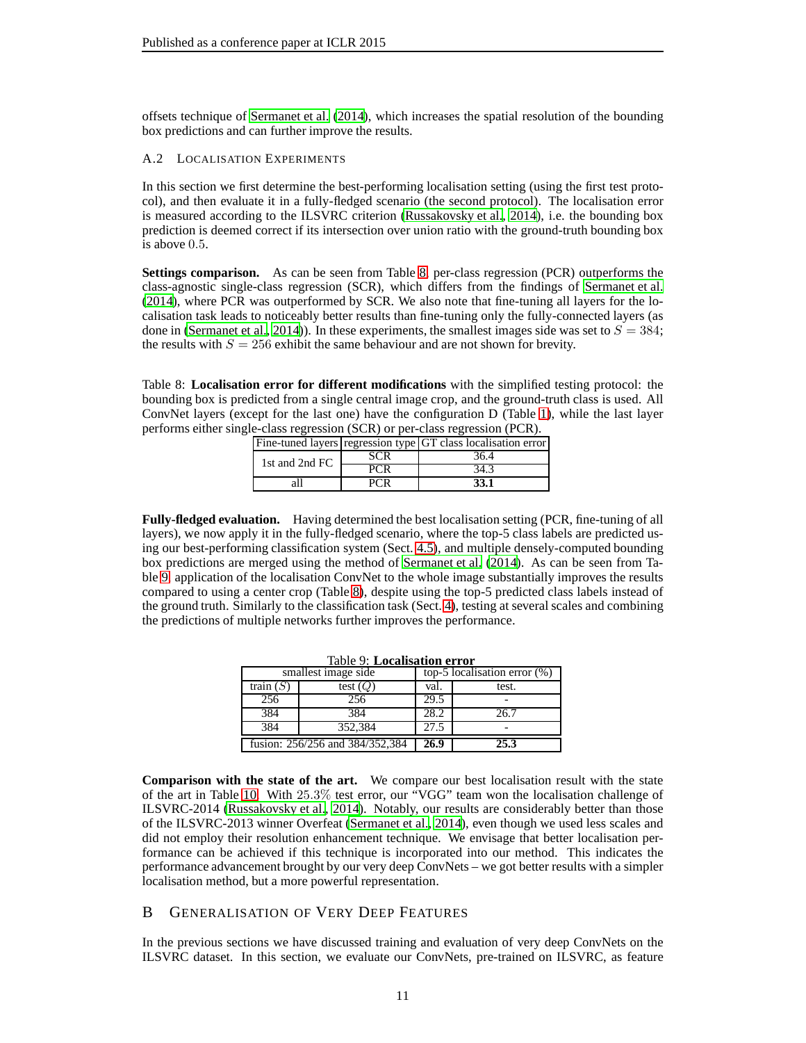<span id="page-10-1"></span>offsets technique of [Sermanet et al.](#page-9-1) [\(2014\)](#page-9-1), which increases the spatial resolution of the bounding box predictions and can further improve the results.

#### A.2 LOCALISATION EXPERIMENTS

In this section we first determine the best-performing localisation setting (using the first test protocol), and then evaluate it in a fully-fledged scenario (the second protocol). The localisation error is measured according to the ILSVRC criterion [\(Russakovsky](#page-9-3) et al., [2014\)](#page-9-3), i.e. the bounding box prediction is deemed correct if its intersection over union ratio with the ground-truth bounding box is above 0.5.

**Settings comparison.** As can be seen from Table [8,](#page-10-2) per-class regression (PCR) outperforms the class-agnostic single-class regression (SCR), which differs from the findings of [Sermanet et al.](#page-9-1) [\(2014\)](#page-9-1), where PCR was outperformed by SCR. We also note that fine-tuning all layers for the localisation task leads to noticeably better results than fine-tuning only the fully-connected layers (as done in [\(Sermanet et al., 2014\)](#page-9-1)). In these experiments, the smallest images side was set to  $S = 384$ ; the results with  $S = 256$  exhibit the same behaviour and are not shown for brevity.

<span id="page-10-2"></span>Table 8: **Localisation error for different modifications** with the simplified testing protocol: the bounding box is predicted from a single central image crop, and the ground-truth class is used. All ConvNet layers (except for the last one) have the configuration D (Table [1\)](#page-2-0), while the last layer performs either single-class regression (SCR) or per-class regression (PCR).

|                |            | Fine-tuned layers regression type GT class localisation error |
|----------------|------------|---------------------------------------------------------------|
| 1st and 2nd FC | <b>SCR</b> | 36.4                                                          |
|                | PCR        | 34.3                                                          |
|                |            | 33.1                                                          |

**Fully-fledged evaluation.** Having determined the best localisation setting (PCR, fine-tuning of all layers), we now apply it in the fully-fledged scenario, where the top-5 class labels are predicted using our best-performing classification system (Sect. [4.5\)](#page-6-0), and multiple densely-computed bounding box predictions are merged using the method of [Sermanet et al.](#page-9-1) [\(2014\)](#page-9-1). As can be seen from Ta-ble [9,](#page-10-3) application of the localisation ConvNet to the whole image substantially improves the results compared to using a center crop (Table [8\)](#page-10-2), despite using the top-5 predicted class labels instead of the ground truth. Similarly to the classification task (Sect. [4\)](#page-4-0), testing at several scales and combining the predictions of multiple networks further improves the performance.

<span id="page-10-3"></span>

| <b>Table 9: Localisation error</b> |                                 |      |                                 |  |  |
|------------------------------------|---------------------------------|------|---------------------------------|--|--|
|                                    | smallest image side             |      | top-5 localisation error $(\%)$ |  |  |
| train $(S)$                        | test $(Q)$                      | val. | test.                           |  |  |
| 256                                | 256                             | 29.5 |                                 |  |  |
| 384                                | 384                             | 28.2 | 26.7                            |  |  |
| 384                                | 352.384                         | 27.5 |                                 |  |  |
|                                    | fusion: 256/256 and 384/352,384 | 26.9 | 25.3                            |  |  |

**Comparison with the state of the art.** We compare our best localisation result with the state of the art in Table [10.](#page-11-0) With 25.3% test error, our "VGG" team won the localisation challenge of ILSVRC-2014 [\(Russakovsky et al.](#page-9-3), [2014\)](#page-9-3). Notably, our results are considerably better than those of the ILSVRC-2013 winner Overfeat [\(Sermanet et al., 2014\)](#page-9-1), even though we used less scales and did not employ their resolution enhancement technique. We envisage that better localisation performance can be achieved if this technique is incorporated into our method. This indicates the performance advancement brought by our very deep ConvNets – we got better results with a simpler localisation method, but a more powerful representation.

# <span id="page-10-0"></span>B GENERALISATION OF VERY DEEP FEATURES

In the previous sections we have discussed training and evaluation of very deep ConvNets on the ILSVRC dataset. In this section, we evaluate our ConvNets, pre-trained on ILSVRC, as feature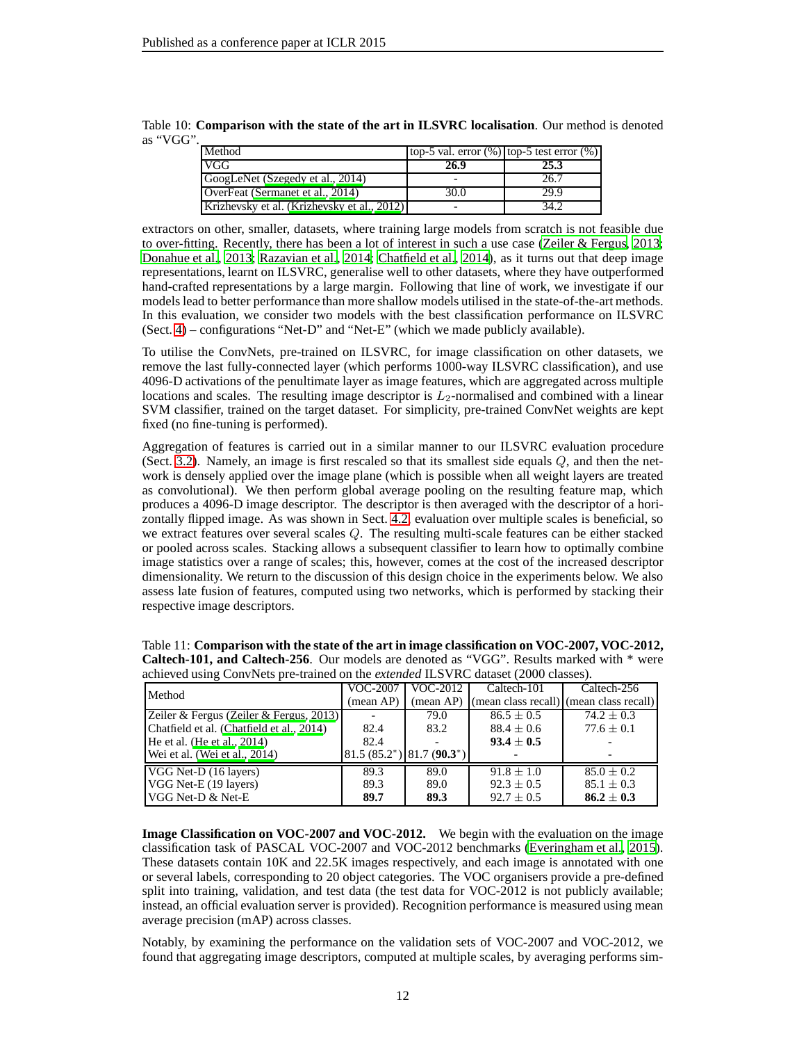<span id="page-11-0"></span>

| Method                                      | top-5 val. error $(\%)$ top-5 test error $(\%)$ |      |
|---------------------------------------------|-------------------------------------------------|------|
| <b>VGG</b>                                  | 26.9                                            | 25.3 |
| GoogLeNet (Szegedy et al., 2014)            |                                                 | 26.7 |
| OverFeat (Sermanet et al., 2014)            | 30.0                                            | 29.9 |
| Krizhevsky et al. (Krizhevsky et al., 2012) |                                                 | 34.2 |

Table 10: **Comparison with the state of the art in ILSVRC localisation**. Our method is denoted as "VGG".

extractors on other, smaller, datasets, where training large models from scratch is not feasible due to over-fitting. Recently, there has been a lot of interest in such a use case [\(Zeiler & Fergus, 2013](#page-9-0); [Donahue et al., 2013;](#page-8-13) [Razavian et al.](#page-8-14), [2014;](#page-8-14) [Chatfield et al.,](#page-8-15) [2014\)](#page-8-15), as it turns out that deep image representations, learnt on ILSVRC, generalise well to other datasets, where they have outperformed hand-crafted representations by a large margin. Following that line of work, we investigate if our models lead to better performance than more shallow models utilised in the state-of-the-art methods. In this evaluation, we consider two models with the best classification performance on ILSVRC (Sect. [4\)](#page-4-0) – configurations "Net-D" and "Net-E" (which we made publicly available).

To utilise the ConvNets, pre-trained on ILSVRC, for image classification on other datasets, we remove the last fully-connected layer (which performs 1000-way ILSVRC classification), and use 4096-D activations of the penultimate layer as image features, which are aggregated across multiple locations and scales. The resulting image descriptor is  $L_2$ -normalised and combined with a linear SVM classifier, trained on the target dataset. For simplicity, pre-trained ConvNet weights are kept fixed (no fine-tuning is performed).

Aggregation of features is carried out in a similar manner to our ILSVRC evaluation procedure (Sect. [3.2\)](#page-4-1). Namely, an image is first rescaled so that its smallest side equals Q, and then the network is densely applied over the image plane (which is possible when all weight layers are treated as convolutional). We then perform global average pooling on the resulting feature map, which produces a 4096-D image descriptor. The descriptor is then averaged with the descriptor of a horizontally flipped image. As was shown in Sect. [4.2,](#page-5-1) evaluation over multiple scales is beneficial, so we extract features over several scales Q. The resulting multi-scale features can be either stacked or pooled across scales. Stacking allows a subsequent classifier to learn how to optimally combine image statistics over a range of scales; this, however, comes at the cost of the increased descriptor dimensionality. We return to the discussion of this design choice in the experiments below. We also assess late fusion of features, computed using two networks, which is performed by stacking their respective image descriptors.

| actificated using Converges pre-trained on the <i>extended</i> TES VKC dataset (2000 classes). |                    |                               |                                                   |                |  |  |
|------------------------------------------------------------------------------------------------|--------------------|-------------------------------|---------------------------------------------------|----------------|--|--|
| Method                                                                                         |                    | VOC-2007   VOC-2012           | Caltech-101                                       | Caltech-256    |  |  |
|                                                                                                | $(\text{mean AP})$ |                               | (mean AP) (mean class recall) (mean class recall) |                |  |  |
| Zeiler & Fergus (Zeiler & Fergus, 2013)                                                        |                    | 79.0                          | $86.5 \pm 0.5$                                    | $74.2 \pm 0.3$ |  |  |
| Chatfield et al. (Chatfield et al., 2014)                                                      | 82.4               | 83.2                          | $88.4 \pm 0.6$                                    | $77.6 \pm 0.1$ |  |  |
| He et al. (He et al., $2014$ )                                                                 | 82.4               |                               | $93.4 \pm 0.5$                                    |                |  |  |
| Wei et al. (Wei et al., 2014)                                                                  |                    | $81.5(85.2^*)$ $81.7(90.3^*)$ |                                                   |                |  |  |
| VGG Net-D (16 layers)                                                                          | 89.3               | 89.0                          | $91.8 + 1.0$                                      | $85.0 \pm 0.2$ |  |  |
| VGG Net-E (19 layers)                                                                          | 89.3               | 89.0                          | $92.3 \pm 0.5$                                    | $85.1 \pm 0.3$ |  |  |
| $VGG$ Net-D $\&$ Net-E                                                                         | 89.7               | 89.3                          | $92.7 \pm 0.5$                                    | $86.2 \pm 0.3$ |  |  |

<span id="page-11-1"></span>Table 11: **Comparison with the state of the art in image classification on VOC-2007, VOC-2012, Caltech-101, and Caltech-256**. Our models are denoted as "VGG". Results marked with \* were achieved using ConvNets pre-trained on the *extended* ILSVRC dataset (2000 classes).

**Image Classification on VOC-2007 and VOC-2012.** We begin with the evaluation on the image classification task of PASCAL VOC-2007 and VOC-2012 benchmarks [\(Everingham et al.](#page-8-16), [2015](#page-8-16)). These datasets contain 10K and 22.5K images respectively, and each image is annotated with one or several labels, corresponding to 20 object categories. The VOC organisers provide a pre-defined split into training, validation, and test data (the test data for VOC-2012 is not publicly available; instead, an official evaluation server is provided). Recognition performance is measured using mean average precision (mAP) across classes.

Notably, by examining the performance on the validation sets of VOC-2007 and VOC-2012, we found that aggregating image descriptors, computed at multiple scales, by averaging performs sim-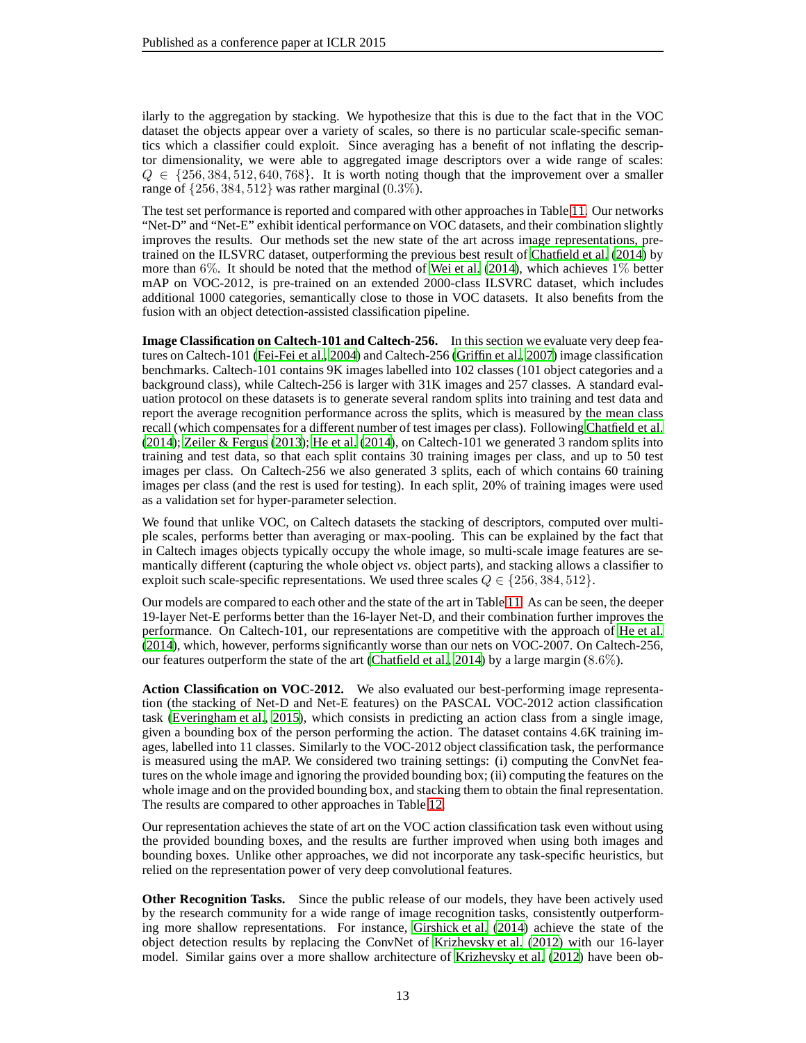ilarly to the aggregation by stacking. We hypothesize that this is due to the fact that in the VOC dataset the objects appear over a variety of scales, so there is no particular scale-specific semantics which a classifier could exploit. Since averaging has a benefit of not inflating the descriptor dimensionality, we were able to aggregated image descriptors over a wide range of scales:  $Q \in \{256, 384, 512, 640, 768\}$ . It is worth noting though that the improvement over a smaller range of {256, 384, 512} was rather marginal (0.3%).

The test set performance is reported and compared with other approaches in Table [11.](#page-11-1) Our networks "Net-D" and "Net-E" exhibit identical performance on VOC datasets, and their combination slightly improves the results. Our methods set the new state of the art across image representations, pretrained on the ILSVRC dataset, outperforming the previous best result of [Chatfield et al. \(2014](#page-8-15)) by more than 6%. It should be noted that the method of [Wei et al. \(2014\)](#page-9-7), which achieves  $1\%$  better mAP on VOC-2012, is pre-trained on an extended 2000-class ILSVRC dataset, which includes additional 1000 categories, semantically close to those in VOC datasets. It also benefits from the fusion with an object detection-assisted classification pipeline.

**Image Classification on Caltech-101 and Caltech-256.** In this section we evaluate very deep features on Caltech-101 [\(Fei-Fei et al.](#page-8-17), [2004\)](#page-8-17) and Caltech-256 [\(Griffin et al., 2007](#page-8-18)) image classification benchmarks. Caltech-101 contains 9K images labelled into 102 classes (101 object categories and a background class), while Caltech-256 is larger with 31K images and 257 classes. A standard evaluation protocol on these datasets is to generate several random splits into training and test data and report the average recognition performance across the splits, which is measured by the mean class recall (which compensates for a different number of test images per class). Following [Chatfield et al.](#page-8-15) [\(2014\)](#page-8-15); [Zeiler & Fergus \(2013](#page-9-0)); [He et al. \(2014\)](#page-8-12), on Caltech-101 we generated 3 random splits into training and test data, so that each split contains 30 training images per class, and up to 50 test images per class. On Caltech-256 we also generated 3 splits, each of which contains 60 training images per class (and the rest is used for testing). In each split, 20% of training images were used as a validation set for hyper-parameter selection.

We found that unlike VOC, on Caltech datasets the stacking of descriptors, computed over multiple scales, performs better than averaging or max-pooling. This can be explained by the fact that in Caltech images objects typically occupy the whole image, so multi-scale image features are semantically different (capturing the whole object *vs*. object parts), and stacking allows a classifier to exploit such scale-specific representations. We used three scales  $Q \in \{256, 384, 512\}$ .

Our models are compared to each other and the state of the art in Table [11.](#page-11-1) As can be seen, the deeper 19-layer Net-E performs better than the 16-layer Net-D, and their combination further improves the performance. On Caltech-101, our representations are competitive with the approach of [He et al.](#page-8-12) [\(2014\)](#page-8-12), which, however, performs significantly worse than our nets on VOC-2007. On Caltech-256, our features outperform the state of the art [\(Chatfield et al., 2014\)](#page-8-15) by a large margin (8.6%).

**Action Classification on VOC-2012.** We also evaluated our best-performing image representation (the stacking of Net-D and Net-E features) on the PASCAL VOC-2012 action classification task [\(Everingham et al.](#page-8-16), [2015\)](#page-8-16), which consists in predicting an action class from a single image, given a bounding box of the person performing the action. The dataset contains 4.6K training images, labelled into 11 classes. Similarly to the VOC-2012 object classification task, the performance is measured using the mAP. We considered two training settings: (i) computing the ConvNet features on the whole image and ignoring the provided bounding box; (ii) computing the features on the whole image and on the provided bounding box, and stacking them to obtain the final representation. The results are compared to other approaches in Table [12.](#page-13-1)

Our representation achieves the state of art on the VOC action classification task even without using the provided bounding boxes, and the results are further improved when using both images and bounding boxes. Unlike other approaches, we did not incorporate any task-specific heuristics, but relied on the representation power of very deep convolutional features.

**Other Recognition Tasks.** Since the public release of our models, they have been actively used by the research community for a wide range of image recognition tasks, consistently outperforming more shallow representations. For instance, [Girshick et al. \(2014](#page-8-19)) achieve the state of the object detection results by replacing the ConvNet of [Krizhevsky et al.](#page-8-0) [\(2012\)](#page-8-0) with our 16-layer model. Similar gains over a more shallow architecture of [Krizhevsky et al. \(2012](#page-8-0)) have been ob-